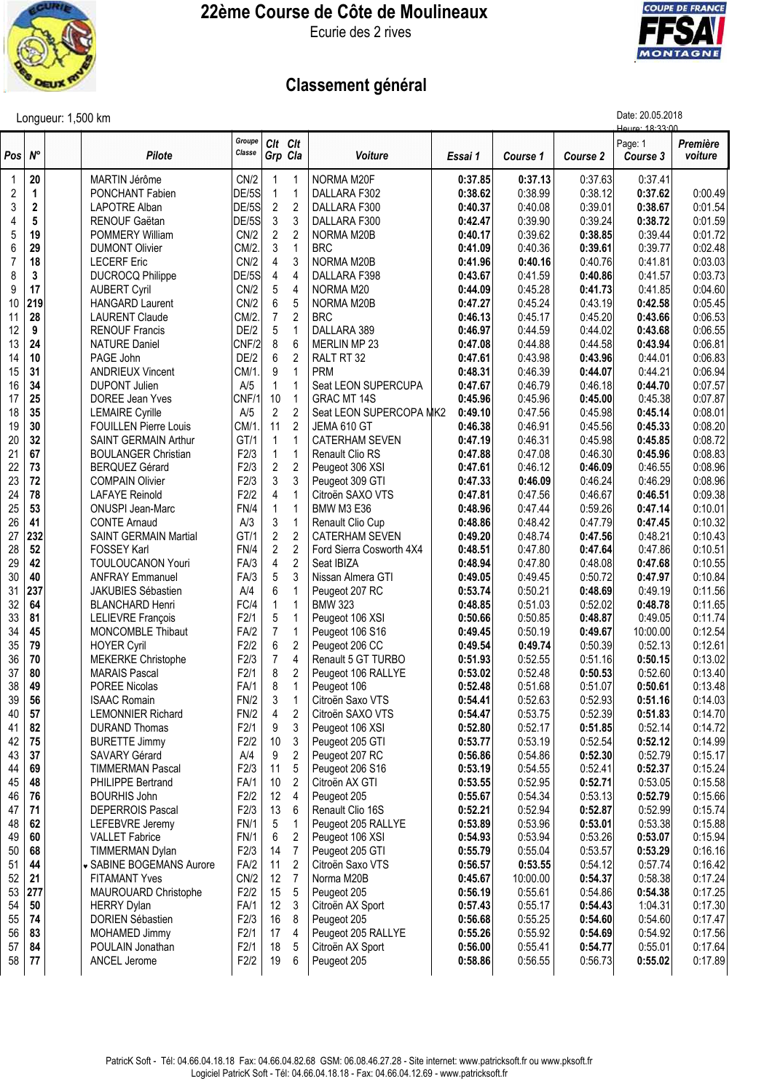

## **22ème Course de Côte de Moulineaux**

Ecurie des 2 rives



## **Classement général**

|            |              | Longueur: 1,500 km                                 | Date: 20.05.2018<br>Houro: 18-33-00 |                    |                     |                                     |                    |                    |                    |                     |                     |
|------------|--------------|----------------------------------------------------|-------------------------------------|--------------------|---------------------|-------------------------------------|--------------------|--------------------|--------------------|---------------------|---------------------|
| Posl       | $N^{\circ}$  | Pilote                                             | Groupe<br>Classe                    | Clt Clt<br>Grp Cla |                     | Voiture                             | Essai 1            | Course 1           | Course 2           | Page: 1<br>Course 3 | Première<br>voiture |
| 1          | 20           | MARTIN Jérôme                                      | CN/2                                |                    |                     | NORMA M20F                          | 0:37.85            | 0:37.13            | 0:37.63            | 0:37.41             |                     |
| $\sqrt{2}$ | $\mathbf{1}$ | PONCHANT Fabien                                    | DE/5S                               | 1                  | 1                   | DALLARA F302                        | 0:38.62            | 0:38.99            | 0:38.12            | 0:37.62             | 0:00.49             |
| 3          | $\mathbf{2}$ | LAPOTRE Alban                                      | DE/5S                               | $\boldsymbol{2}$   | $\overline{2}$      | DALLARA F300                        | 0:40.37            | 0:40.08            | 0:39.01            | 0:38.67             | 0:01.54             |
| 4          | 5            | RENOUF Gaëtan                                      | DE/5S                               | 3                  | 3                   | DALLARA F300                        | 0:42.47            | 0:39.90            | 0:39.24            | 0:38.72             | 0:01.59             |
| 5          | 19           | <b>POMMERY William</b>                             | CN/2                                | $\overline{c}$     | $\overline{2}$      | NORMA M20B                          | 0:40.17            | 0:39.62            | 0:38.85            | 0:39.44             | 0:01.72             |
| 6          | 29           | <b>DUMONT Olivier</b>                              | CM/2.                               | 3                  | $\mathbf{1}$        | <b>BRC</b>                          | 0:41.09            | 0:40.36            | 0:39.61            | 0:39.77             | 0:02.48             |
| 7          | 18           | <b>LECERF Eric</b>                                 | CN/2                                | 4                  | 3                   | NORMA M20B                          | 0:41.96            | 0:40.16            | 0:40.76            | 0:41.81             | 0:03.03             |
| 8          | 3<br>17      | <b>DUCROCQ Philippe</b>                            | DE/5S<br>CN/2                       | 4<br>5             | 4<br>$\overline{4}$ | DALLARA F398<br>NORMA M20           | 0:43.67            | 0:41.59<br>0:45.28 | 0:40.86<br>0:41.73 | 0:41.57<br>0:41.85  | 0:03.73<br>0:04.60  |
| 9<br>10    | 219          | <b>AUBERT Cyril</b><br><b>HANGARD Laurent</b>      | CN/2                                | 6                  | 5                   | NORMA M20B                          | 0:44.09<br>0:47.27 | 0:45.24            | 0:43.19            | 0:42.58             | 0:05.45             |
| 11         | 28           | <b>LAURENT Claude</b>                              | CM/2.                               | $\overline{7}$     | 2                   | <b>BRC</b>                          | 0:46.13            | 0:45.17            | 0:45.20            | 0:43.66             | 0:06.53             |
| 12         | 9            | <b>RENOUF Francis</b>                              | DE/2                                | 5                  | $\mathbf{1}$        | DALLARA 389                         | 0:46.97            | 0:44.59            | 0:44.02            | 0:43.68             | 0:06.55             |
| 13         | 24           | <b>NATURE Daniel</b>                               | CNF/2                               | 8                  | 6                   | <b>MERLIN MP 23</b>                 | 0:47.08            | 0:44.88            | 0:44.58            | 0:43.94             | 0:06.81             |
| 14         | 10           | PAGE John                                          | DE/2                                | 6                  | $\overline{2}$      | RALT RT 32                          | 0:47.61            | 0:43.98            | 0:43.96            | 0:44.01             | 0:06.83             |
| 15         | 31           | <b>ANDRIEUX Vincent</b>                            | CM/1.                               | 9                  | $\mathbf{1}$        | <b>PRM</b>                          | 0:48.31            | 0:46.39            | 0:44.07            | 0:44.21             | 0:06.94             |
| 16         | 34           | <b>DUPONT Julien</b>                               | A/5                                 | $\mathbf{1}$       | $\mathbf{1}$        | Seat LEON SUPERCUPA                 | 0:47.67            | 0:46.79            | 0:46.18            | 0:44.70             | 0:07.57             |
| 17         | 25           | DOREE Jean Yves                                    | CNF/1                               | 10                 | $\mathbf{1}$        | <b>GRAC MT 14S</b>                  | 0:45.96            | 0:45.96            | 0:45.00            | 0:45.38             | 0:07.87             |
| 18         | 35           | <b>LEMAIRE Cyrille</b>                             | A/5                                 | $\overline{2}$     | $\overline{2}$      | Seat LEON SUPERCOPA MK2             | 0:49.10            | 0:47.56            | 0:45.98            | 0:45.14             | 0:08.01             |
| 19         | 30           | <b>FOUILLEN Pierre Louis</b>                       | CM/1.                               | 11                 | $\overline{2}$      | JEMA 610 GT                         | 0:46.38            | 0:46.91            | 0:45.56            | 0:45.33             | 0:08.20             |
| 20         | 32           | SAINT GERMAIN Arthur                               | GT/1                                | $\mathbf{1}$       | $\mathbf{1}$        | <b>CATERHAM SEVEN</b>               | 0:47.19            | 0:46.31            | 0:45.98            | 0:45.85             | 0:08.72             |
| 21         | 67           | <b>BOULANGER Christian</b>                         | F2/3                                | $\mathbf{1}$       | 1                   | <b>Renault Clio RS</b>              | 0:47.88            | 0:47.08            | 0:46.30            | 0:45.96             | 0:08.83             |
| 22         | 73           | <b>BERQUEZ Gérard</b>                              | F2/3                                | $\overline{2}$     | $\overline{2}$      | Peugeot 306 XSI                     | 0:47.61            | 0:46.12            | 0:46.09            | 0:46.55             | 0:08.96             |
| 23         | 72           | <b>COMPAIN Olivier</b>                             | F2/3                                | 3                  | 3                   | Peugeot 309 GTI                     | 0:47.33            | 0:46.09            | 0:46.24            | 0:46.29             | 0:08.96             |
| 24         | 78           | <b>LAFAYE Reinold</b>                              | F2/2                                | 4                  | $\mathbf{1}$        | Citroën SAXO VTS                    | 0:47.81            | 0:47.56            | 0:46.67            | 0:46.51             | 0:09.38             |
| 25         | 53           | <b>ONUSPI Jean-Marc</b>                            | FN/4                                | $\mathbf{1}$       | 1                   | BMW M3 E36                          | 0:48.96            | 0:47.44            | 0:59.26            | 0:47.14             | 0:10.01             |
| 26         | 41           | <b>CONTE Arnaud</b>                                | A/3                                 | 3                  | 1                   | Renault Clio Cup                    | 0:48.86            | 0:48.42            | 0:47.79            | 0:47.45             | 0:10.32             |
| 27         | 232          | SAINT GERMAIN Martial                              | GT/1                                | $\boldsymbol{2}$   | $\overline{2}$      | <b>CATERHAM SEVEN</b>               | 0:49.20            | 0:48.74            | 0:47.56            | 0:48.21             | 0:10.43             |
| 28         | 52           | <b>FOSSEY Karl</b>                                 | FN/4<br>FA/3                        | $\overline{2}$     | $\overline{2}$      | Ford Sierra Cosworth 4X4            | 0:48.51            | 0:47.80            | 0:47.64            | 0:47.86             | 0:10.51             |
| 29<br>30   | 42<br>40     | <b>TOULOUCANON Youri</b><br><b>ANFRAY Emmanuel</b> | FA/3                                | 4<br>5             | $\overline{2}$<br>3 | Seat IBIZA                          | 0:48.94            | 0:47.80<br>0:49.45 | 0:48.08<br>0:50.72 | 0:47.68<br>0:47.97  | 0:10.55<br>0:10.84  |
| 31         | 237          | <b>JAKUBIES Sébastien</b>                          | A/4                                 | 6                  | 1                   | Nissan Almera GTI                   | 0:49.05<br>0:53.74 | 0:50.21            | 0:48.69            | 0:49.19             | 0:11.56             |
| 32         | 64           | <b>BLANCHARD Henri</b>                             | FC/4                                | $\mathbf{1}$       | $\mathbf{1}$        | Peugeot 207 RC<br><b>BMW 323</b>    | 0:48.85            | 0:51.03            | 0:52.02            | 0:48.78             | 0:11.65             |
| 33         | 81           | LELIEVRE François                                  | F2/1                                | 5                  | $\mathbf{1}$        | Peugeot 106 XSI                     | 0:50.66            | 0:50.85            | 0:48.87            | 0:49.05             | 0:11.74             |
| 34         | 45           | <b>MONCOMBLE Thibaut</b>                           | FA/2                                | 7                  | 1                   | Peugeot 106 S16                     | 0:49.45            | 0:50.19            | 0:49.67            | 10:00.00            | 0:12.54             |
| 35         | 79           | <b>HOYER Cyril</b>                                 | F2/2                                | 6                  | $\overline{2}$      | Peugeot 206 CC                      | 0:49.54            | 0:49.74            | 0:50.39            | 0:52.13             | 0:12.61             |
| 36         | 70           | <b>MEKERKE Christophe</b>                          | F2/3                                | $\overline{7}$     | 4                   | Renault 5 GT TURBO                  | 0:51.93            | 0:52.55            | 0:51.16            | 0:50.15             | 0:13.02             |
| 37         | 80           | <b>MARAIS Pascal</b>                               | F2/1                                | 8                  | $\overline{2}$      | Peugeot 106 RALLYE                  | 0:53.02            | 0:52.48            | 0:50.53            | 0:52.60             | 0:13.40             |
| 38         | 49           | <b>POREE Nicolas</b>                               | FA/1                                | 8                  | 1                   | Peugeot 106                         | 0:52.48            | 0:51.68            | 0:51.07            | 0:50.61             | 0:13.48             |
| 39         | 56           | <b>ISAAC Romain</b>                                | FN/2                                | 3                  | 1                   | Citroën Saxo VTS                    | 0:54.41            | 0:52.63            | 0:52.93            | 0:51.16             | 0:14.03             |
| 40         | 57           | <b>LEMONNIER Richard</b>                           | FN/2                                | 4                  | $\overline{c}$      | Citroën SAXO VTS                    | 0:54.47            | 0:53.75            | 0:52.39            | 0:51.83             | 0:14.70             |
| 41         | 82           | <b>DURAND Thomas</b>                               | F2/1                                | 9                  | 3                   | Peugeot 106 XSI                     | 0:52.80            | 0:52.17            | 0:51.85            | 0:52.14             | 0:14.72             |
| 42         | 75           | <b>BURETTE Jimmy</b>                               | F2/2                                | 10                 | 3                   | Peugeot 205 GTI                     | 0:53.77            | 0:53.19            | 0:52.54            | 0:52.12             | 0:14.99             |
| 43         | 37           | <b>SAVARY Gérard</b>                               | A/4                                 | 9                  | 2                   | Peugeot 207 RC                      | 0:56.86            | 0:54.86            | 0:52.30            | 0:52.79             | 0:15.17             |
| 44         | 69           | <b>TIMMERMAN Pascal</b>                            | F2/3                                | 11                 | 5                   | Peugeot 206 S16                     | 0:53.19            | 0:54.55            | 0:52.41            | 0:52.37             | 0:15.24             |
| 45         | 48           | PHILIPPE Bertrand                                  | FA/1                                | 10                 | $\overline{c}$      | Citroën AX GTI                      | 0:53.55            | 0:52.95            | 0:52.71            | 0:53.05             | 0:15.58             |
| 46         | 76           | <b>BOURHIS John</b>                                | F2/2                                | 12                 | 4                   | Peugeot 205                         | 0:55.67            | 0:54.34            | 0:53.13            | 0:52.79             | 0:15.66             |
| 47         | 71           | DEPERROIS Pascal                                   | F2/3                                | 13                 | 6                   | Renault Clio 16S                    | 0:52.21            | 0:52.94            | 0:52.87            | 0:52.99             | 0:15.74             |
| 48<br>49   | 62<br>60     | LEFEBVRE Jeremy<br><b>VALLET Fabrice</b>           | FN/1<br><b>FN/1</b>                 | 5<br>6             | 1<br>$\overline{2}$ | Peugeot 205 RALLYE                  | 0:53.89<br>0:54.93 | 0:53.96<br>0:53.94 | 0:53.01<br>0:53.26 | 0:53.38<br>0:53.07  | 0:15.88             |
| 50         | 68           |                                                    | F2/3                                | 14                 | $\overline{7}$      | Peugeot 106 XSI                     |                    | 0:55.04            | 0:53.57            | 0:53.29             | 0:15.94<br>0:16.16  |
| 51         | 44           | <b>TIMMERMAN Dylan</b><br>▼ SABINE BOGEMANS Aurore | FA/2                                | 11                 | 2                   | Peugeot 205 GTI<br>Citroën Saxo VTS | 0:55.79<br>0:56.57 | 0:53.55            | 0:54.12            | 0:57.74             | 0:16.42             |
| 52         | 21           | <b>FITAMANT Yves</b>                               | CN/2                                | 12                 | 7                   | Norma M20B                          | 0:45.67            | 10:00.00           | 0:54.37            | 0:58.38             | 0:17.24             |
| 53         | 277          | <b>MAUROUARD Christophe</b>                        | F2/2                                | 15                 | 5                   | Peugeot 205                         | 0:56.19            | 0:55.61            | 0:54.86            | 0:54.38             | 0:17.25             |
| 54         | $50\,$       | <b>HERRY Dylan</b>                                 | FA/1                                | 12                 | 3                   | Citroën AX Sport                    | 0:57.43            | 0:55.17            | 0:54.43            | 1:04.31             | 0:17.30             |
| 55         | 74           | DORIEN Sébastien                                   | F2/3                                | 16                 | 8                   | Peugeot 205                         | 0:56.68            | 0:55.25            | 0:54.60            | 0:54.60             | 0:17.47             |
| 56         | 83           | MOHAMED Jimmy                                      | F2/1                                | 17                 | $\overline{4}$      | Peugeot 205 RALLYE                  | 0:55.26            | 0:55.92            | 0:54.69            | 0:54.92             | 0:17.56             |
| 57         | 84           | POULAIN Jonathan                                   | F2/1                                | 18                 | 5                   | Citroën AX Sport                    | 0:56.00            | 0:55.41            | 0:54.77            | 0:55.01             | 0:17.64             |
| 58         | 77           | ANCEL Jerome                                       | F2/2                                | 19                 | 6                   | Peugeot 205                         | 0:58.86            | 0:56.55            | 0:56.73            | 0:55.02             | 0:17.89             |
|            |              |                                                    |                                     |                    |                     |                                     |                    |                    |                    |                     |                     |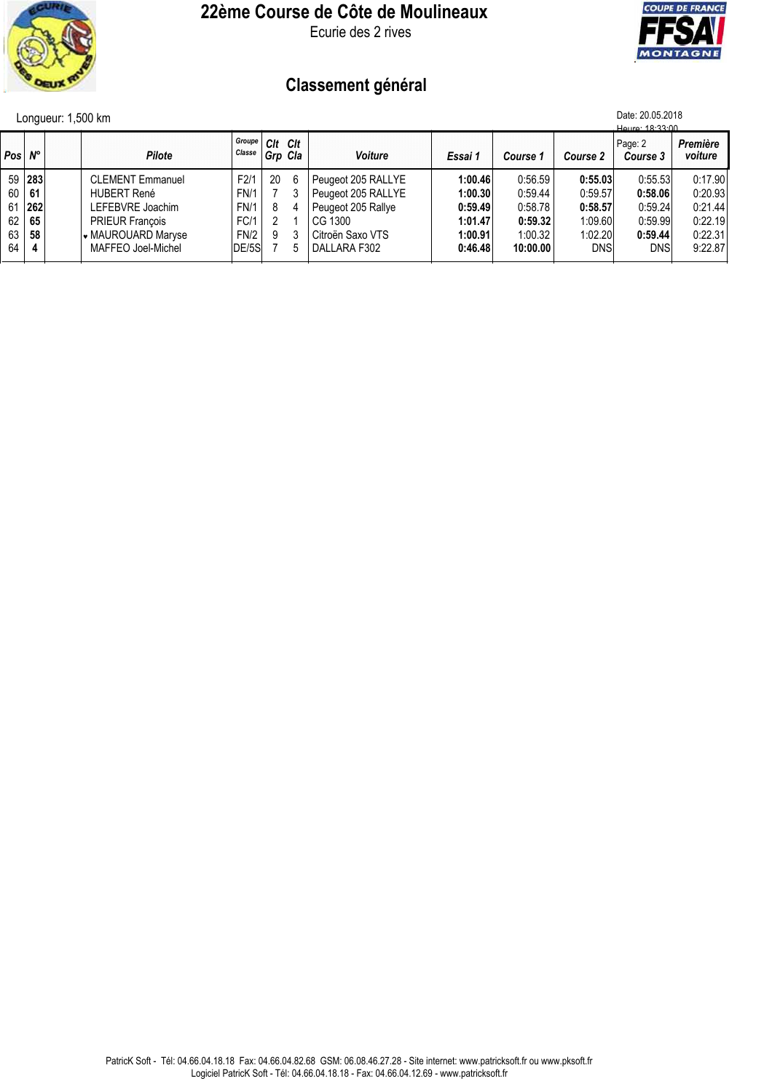

### **22ème Course de Côte de Moulineaux**

Ecurie des 2 rives



# **Classement général**

| Longueur: 1,500 km |  |  |
|--------------------|--|--|
|                    |  |  |

|                 | Date: 20.05.2018<br>Longueur: 1,500 km<br>Houro: 18:33:00 |                         |                  |                    |   |                    |         |          |            |                     |                     |
|-----------------|-----------------------------------------------------------|-------------------------|------------------|--------------------|---|--------------------|---------|----------|------------|---------------------|---------------------|
| Pos N°          |                                                           | Pilote                  | Groupe<br>Classe | Cit Cit<br>Grp Cla |   | <b>Voiture</b>     | Essai 1 | Course 1 | Course 2   | Page: 2<br>Course 3 | Première<br>voiture |
|                 | 59 283                                                    | <b>CLEMENT Emmanuel</b> | F2/1             | 20                 | 6 | Peugeot 205 RALLYE | 1:00.46 | 0:56.59  | 0:55.03    | 0:55.53             | 0:17.90             |
|                 | 60   61                                                   | <b>HUBERT René</b>      | <b>FN/1</b>      |                    |   | Peugeot 205 RALLYE | 1:00.30 | 0:59.44  | 0:59.57    | 0:58.06             | 0:20.93             |
|                 | $61$   262                                                | LEFEBVRE Joachim        | <b>FN/1</b>      | 8                  |   | Peugeot 205 Rallye | 0:59.49 | 0:58.78  | 0:58.57    | 0:59.24             | 0:21.44             |
| 62 <sub>1</sub> | 65                                                        | <b>PRIEUR François</b>  | FC/1             |                    |   | CG 1300            | 1:01.47 | 0:59.32  | 1:09.60    | 0:59.99             | 0:22.19             |
| 63              | 58                                                        | √ MAUROUARD Maryse      | FN/2             | 9                  |   | Citroën Saxo VTS   | 1:00.91 | 1:00.32  | 1:02.20    | 0:59.44             | 0:22.31             |
| 64              | 4                                                         | MAFFEO Joel-Michel      | DE/5S            |                    |   | DALLARA F302       | 0:46.48 | 10:00.00 | <b>DNS</b> | DNS                 | 9:22.87             |